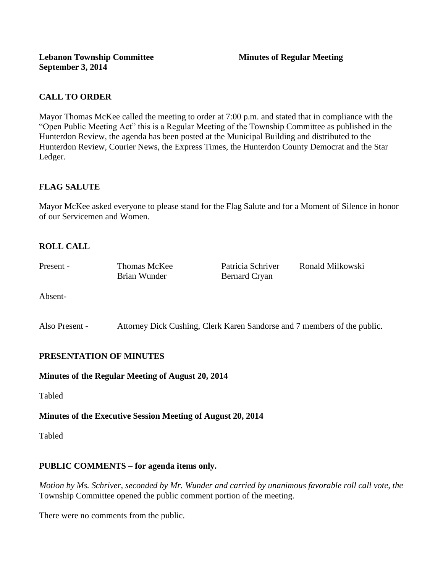# **CALL TO ORDER**

Mayor Thomas McKee called the meeting to order at 7:00 p.m. and stated that in compliance with the "Open Public Meeting Act" this is a Regular Meeting of the Township Committee as published in the Hunterdon Review, the agenda has been posted at the Municipal Building and distributed to the Hunterdon Review, Courier News, the Express Times, the Hunterdon County Democrat and the Star Ledger.

# **FLAG SALUTE**

Mayor McKee asked everyone to please stand for the Flag Salute and for a Moment of Silence in honor of our Servicemen and Women.

# **ROLL CALL**

| Present - | Thomas McKee | Patricia Schriver    | Ronald Milkowski |
|-----------|--------------|----------------------|------------------|
|           | Brian Wunder | <b>Bernard Cryan</b> |                  |

Absent-

Also Present - Attorney Dick Cushing, Clerk Karen Sandorse and 7 members of the public.

## **PRESENTATION OF MINUTES**

### **Minutes of the Regular Meeting of August 20, 2014**

Tabled

### **Minutes of the Executive Session Meeting of August 20, 2014**

Tabled

## **PUBLIC COMMENTS – for agenda items only.**

*Motion by Ms. Schriver, seconded by Mr. Wunder and carried by unanimous favorable roll call vote, the* Township Committee opened the public comment portion of the meeting.

There were no comments from the public.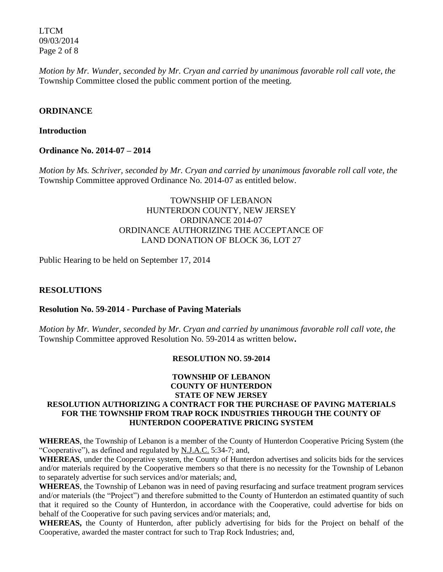LTCM 09/03/2014 Page 2 of 8

*Motion by Mr. Wunder, seconded by Mr. Cryan and carried by unanimous favorable roll call vote, the* Township Committee closed the public comment portion of the meeting.

#### **ORDINANCE**

#### **Introduction**

**Ordinance No. 2014-07 – 2014** 

*Motion by Ms. Schriver, seconded by Mr. Cryan and carried by unanimous favorable roll call vote, the* Township Committee approved Ordinance No. 2014-07 as entitled below.

## TOWNSHIP OF LEBANON HUNTERDON COUNTY, NEW JERSEY ORDINANCE 2014-07 ORDINANCE AUTHORIZING THE ACCEPTANCE OF LAND DONATION OF BLOCK 36, LOT 27

Public Hearing to be held on September 17, 2014

### **RESOLUTIONS**

#### **Resolution No. 59-2014 - Purchase of Paving Materials**

*Motion by Mr. Wunder, seconded by Mr. Cryan and carried by unanimous favorable roll call vote*, *the* Township Committee approved Resolution No. 59-2014 as written below**.** 

#### **RESOLUTION NO. 59-2014**

#### **TOWNSHIP OF LEBANON COUNTY OF HUNTERDON STATE OF NEW JERSEY RESOLUTION AUTHORIZING A CONTRACT FOR THE PURCHASE OF PAVING MATERIALS FOR THE TOWNSHIP FROM TRAP ROCK INDUSTRIES THROUGH THE COUNTY OF HUNTERDON COOPERATIVE PRICING SYSTEM**

**WHEREAS**, the Township of Lebanon is a member of the County of Hunterdon Cooperative Pricing System (the "Cooperative"), as defined and regulated by N.J.A.C. 5:34-7; and,

**WHEREAS**, under the Cooperative system, the County of Hunterdon advertises and solicits bids for the services and/or materials required by the Cooperative members so that there is no necessity for the Township of Lebanon to separately advertise for such services and/or materials; and,

**WHEREAS**, the Township of Lebanon was in need of paving resurfacing and surface treatment program services and/or materials (the "Project") and therefore submitted to the County of Hunterdon an estimated quantity of such that it required so the County of Hunterdon, in accordance with the Cooperative, could advertise for bids on behalf of the Cooperative for such paving services and/or materials; and,

**WHEREAS,** the County of Hunterdon, after publicly advertising for bids for the Project on behalf of the Cooperative, awarded the master contract for such to Trap Rock Industries; and,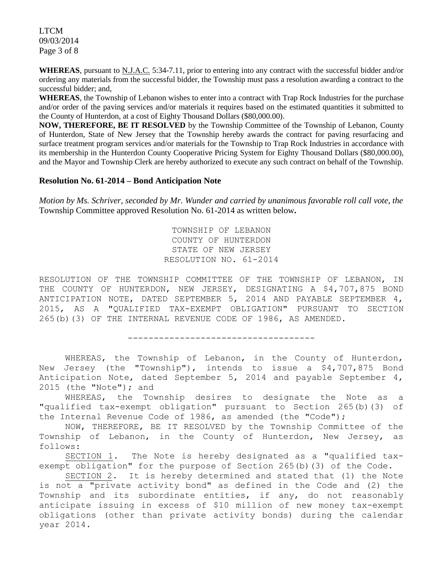LTCM 09/03/2014 Page 3 of 8

**WHEREAS**, pursuant to N.J.A.C. 5:34-7.11, prior to entering into any contract with the successful bidder and/or ordering any materials from the successful bidder, the Township must pass a resolution awarding a contract to the successful bidder; and,

**WHEREAS**, the Township of Lebanon wishes to enter into a contract with Trap Rock Industries for the purchase and/or order of the paving services and/or materials it requires based on the estimated quantities it submitted to the County of Hunterdon, at a cost of Eighty Thousand Dollars (\$80,000.00).

**NOW, THEREFORE, BE IT RESOLVED** by the Township Committee of the Township of Lebanon, County of Hunterdon, State of New Jersey that the Township hereby awards the contract for paving resurfacing and surface treatment program services and/or materials for the Township to Trap Rock Industries in accordance with its membership in the Hunterdon County Cooperative Pricing System for Eighty Thousand Dollars (\$80,000.00), and the Mayor and Township Clerk are hereby authorized to execute any such contract on behalf of the Township.

#### **Resolution No. 61-2014 – Bond Anticipation Note**

*Motion by Ms. Schriver, seconded by Mr. Wunder and carried by unanimous favorable roll call vote*, *the* Township Committee approved Resolution No. 61-2014 as written below**.** 

> TOWNSHIP OF LEBANON COUNTY OF HUNTERDON STATE OF NEW JERSEY RESOLUTION NO. 61-2014

RESOLUTION OF THE TOWNSHIP COMMITTEE OF THE TOWNSHIP OF LEBANON, IN THE COUNTY OF HUNTERDON, NEW JERSEY, DESIGNATING A \$4,707,875 BOND ANTICIPATION NOTE, DATED SEPTEMBER 5, 2014 AND PAYABLE SEPTEMBER 4, 2015, AS A "QUALIFIED TAX-EXEMPT OBLIGATION" PURSUANT TO SECTION 265(b)(3) OF THE INTERNAL REVENUE CODE OF 1986, AS AMENDED.

------------------------------------

WHEREAS, the Township of Lebanon, in the County of Hunterdon, New Jersey (the "Township"), intends to issue a \$4,707,875 Bond Anticipation Note, dated September 5, 2014 and payable September 4, 2015 (the "Note"); and

WHEREAS, the Township desires to designate the Note as a "qualified tax-exempt obligation" pursuant to Section 265(b)(3) of the Internal Revenue Code of 1986, as amended (the "Code");

NOW, THEREFORE, BE IT RESOLVED by the Township Committee of the Township of Lebanon, in the County of Hunterdon, New Jersey, as follows:

SECTION 1. The Note is hereby designated as a "qualified taxexempt obligation" for the purpose of Section 265(b)(3) of the Code.

SECTION 2. It is hereby determined and stated that (1) the Note is not a "private activity bond" as defined in the Code and (2) the Township and its subordinate entities, if any, do not reasonably anticipate issuing in excess of \$10 million of new money tax-exempt obligations (other than private activity bonds) during the calendar year 2014.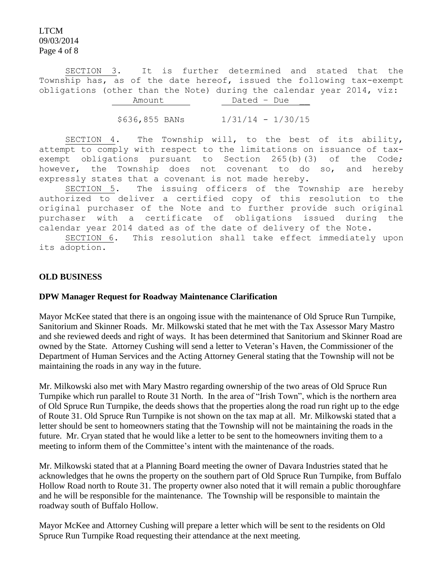LTCM 09/03/2014 Page 4 of 8

SECTION 3. It is further determined and stated that the Township has, as of the date hereof, issued the following tax-exempt obligations (other than the Note) during the calendar year 2014, viz: Amount Dated – Due

\$636,855 BANs 1/31/14 - 1/30/15

SECTION 4. The Township will, to the best of its ability, attempt to comply with respect to the limitations on issuance of taxexempt obligations pursuant to Section 265(b)(3) of the Code; however, the Township does not covenant to do so, and hereby expressly states that a covenant is not made hereby.

SECTION 5. The issuing officers of the Township are hereby authorized to deliver a certified copy of this resolution to the original purchaser of the Note and to further provide such original purchaser with a certificate of obligations issued during the calendar year 2014 dated as of the date of delivery of the Note.

SECTION 6. This resolution shall take effect immediately upon its adoption.

### **OLD BUSINESS**

#### **DPW Manager Request for Roadway Maintenance Clarification**

Mayor McKee stated that there is an ongoing issue with the maintenance of Old Spruce Run Turnpike, Sanitorium and Skinner Roads. Mr. Milkowski stated that he met with the Tax Assessor Mary Mastro and she reviewed deeds and right of ways. It has been determined that Sanitorium and Skinner Road are owned by the State. Attorney Cushing will send a letter to Veteran's Haven, the Commissioner of the Department of Human Services and the Acting Attorney General stating that the Township will not be maintaining the roads in any way in the future.

Mr. Milkowski also met with Mary Mastro regarding ownership of the two areas of Old Spruce Run Turnpike which run parallel to Route 31 North. In the area of "Irish Town", which is the northern area of Old Spruce Run Turnpike, the deeds shows that the properties along the road run right up to the edge of Route 31. Old Spruce Run Turnpike is not shown on the tax map at all. Mr. Milkowski stated that a letter should be sent to homeowners stating that the Township will not be maintaining the roads in the future. Mr. Cryan stated that he would like a letter to be sent to the homeowners inviting them to a meeting to inform them of the Committee's intent with the maintenance of the roads.

Mr. Milkowski stated that at a Planning Board meeting the owner of Davara Industries stated that he acknowledges that he owns the property on the southern part of Old Spruce Run Turnpike, from Buffalo Hollow Road north to Route 31. The property owner also noted that it will remain a public thoroughfare and he will be responsible for the maintenance. The Township will be responsible to maintain the roadway south of Buffalo Hollow.

Mayor McKee and Attorney Cushing will prepare a letter which will be sent to the residents on Old Spruce Run Turnpike Road requesting their attendance at the next meeting.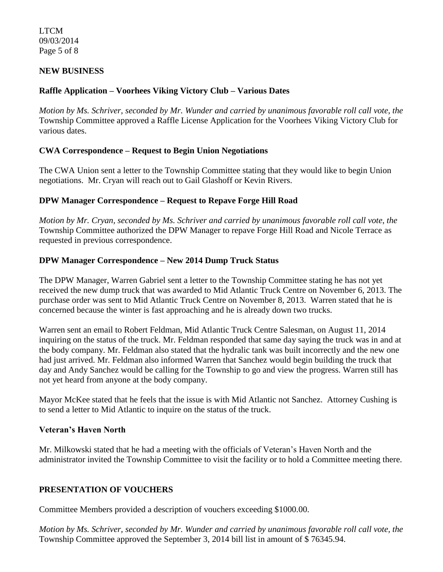LTCM 09/03/2014 Page 5 of 8

## **NEW BUSINESS**

## **Raffle Application – Voorhees Viking Victory Club – Various Dates**

*Motion by Ms. Schriver, seconded by Mr. Wunder and carried by unanimous favorable roll call vote*, *the* Township Committee approved a Raffle License Application for the Voorhees Viking Victory Club for various dates.

### **CWA Correspondence – Request to Begin Union Negotiations**

The CWA Union sent a letter to the Township Committee stating that they would like to begin Union negotiations. Mr. Cryan will reach out to Gail Glashoff or Kevin Rivers.

## **DPW Manager Correspondence – Request to Repave Forge Hill Road**

*Motion by Mr. Cryan, seconded by Ms. Schriver and carried by unanimous favorable roll call vote*, *the* Township Committee authorized the DPW Manager to repave Forge Hill Road and Nicole Terrace as requested in previous correspondence.

## **DPW Manager Correspondence – New 2014 Dump Truck Status**

The DPW Manager, Warren Gabriel sent a letter to the Township Committee stating he has not yet received the new dump truck that was awarded to Mid Atlantic Truck Centre on November 6, 2013. The purchase order was sent to Mid Atlantic Truck Centre on November 8, 2013. Warren stated that he is concerned because the winter is fast approaching and he is already down two trucks.

Warren sent an email to Robert Feldman, Mid Atlantic Truck Centre Salesman, on August 11, 2014 inquiring on the status of the truck. Mr. Feldman responded that same day saying the truck was in and at the body company. Mr. Feldman also stated that the hydralic tank was built incorrectly and the new one had just arrived. Mr. Feldman also informed Warren that Sanchez would begin building the truck that day and Andy Sanchez would be calling for the Township to go and view the progress. Warren still has not yet heard from anyone at the body company.

Mayor McKee stated that he feels that the issue is with Mid Atlantic not Sanchez. Attorney Cushing is to send a letter to Mid Atlantic to inquire on the status of the truck.

### **Veteran's Haven North**

Mr. Milkowski stated that he had a meeting with the officials of Veteran's Haven North and the administrator invited the Township Committee to visit the facility or to hold a Committee meeting there.

### **PRESENTATION OF VOUCHERS**

Committee Members provided a description of vouchers exceeding \$1000.00.

*Motion by Ms. Schriver, seconded by Mr. Wunder and carried by unanimous favorable roll call vote, the* Township Committee approved the September 3, 2014 bill list in amount of \$ 76345.94.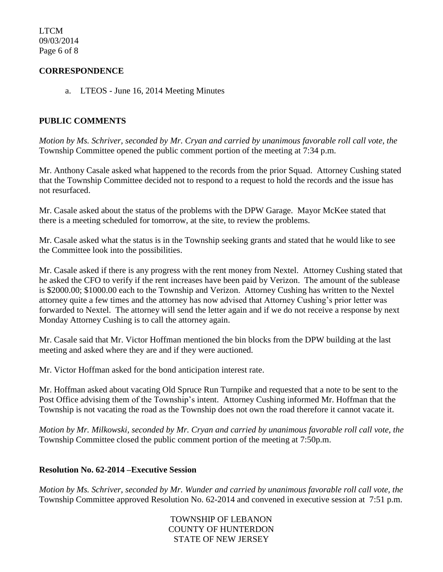LTCM 09/03/2014 Page 6 of 8

## **CORRESPONDENCE**

a. LTEOS - June 16, 2014 Meeting Minutes

## **PUBLIC COMMENTS**

*Motion by Ms. Schriver, seconded by Mr. Cryan and carried by unanimous favorable roll call vote, the* Township Committee opened the public comment portion of the meeting at 7:34 p.m.

Mr. Anthony Casale asked what happened to the records from the prior Squad. Attorney Cushing stated that the Township Committee decided not to respond to a request to hold the records and the issue has not resurfaced.

Mr. Casale asked about the status of the problems with the DPW Garage. Mayor McKee stated that there is a meeting scheduled for tomorrow, at the site, to review the problems.

Mr. Casale asked what the status is in the Township seeking grants and stated that he would like to see the Committee look into the possibilities.

Mr. Casale asked if there is any progress with the rent money from Nextel. Attorney Cushing stated that he asked the CFO to verify if the rent increases have been paid by Verizon. The amount of the sublease is \$2000.00; \$1000.00 each to the Township and Verizon. Attorney Cushing has written to the Nextel attorney quite a few times and the attorney has now advised that Attorney Cushing's prior letter was forwarded to Nextel. The attorney will send the letter again and if we do not receive a response by next Monday Attorney Cushing is to call the attorney again.

Mr. Casale said that Mr. Victor Hoffman mentioned the bin blocks from the DPW building at the last meeting and asked where they are and if they were auctioned.

Mr. Victor Hoffman asked for the bond anticipation interest rate.

Mr. Hoffman asked about vacating Old Spruce Run Turnpike and requested that a note to be sent to the Post Office advising them of the Township's intent. Attorney Cushing informed Mr. Hoffman that the Township is not vacating the road as the Township does not own the road therefore it cannot vacate it.

*Motion by Mr. Milkowski, seconded by Mr. Cryan and carried by unanimous favorable roll call vote, the* Township Committee closed the public comment portion of the meeting at 7:50p.m.

### **Resolution No. 62-2014 –Executive Session**

*Motion by Ms. Schriver, seconded by Mr. Wunder and carried by unanimous favorable roll call vote, the* Township Committee approved Resolution No. 62-2014 and convened in executive session at 7:51 p.m.

> TOWNSHIP OF LEBANON COUNTY OF HUNTERDON STATE OF NEW JERSEY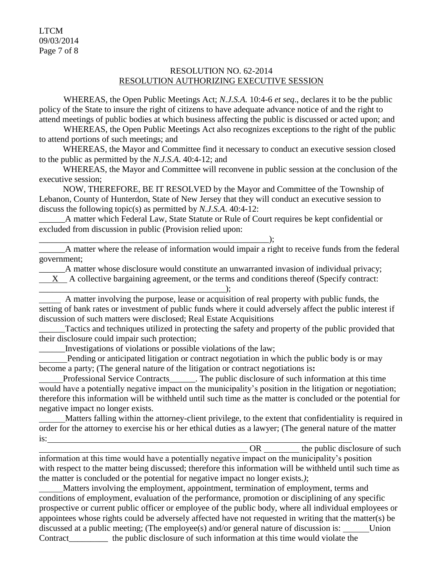LTCM 09/03/2014 Page 7 of 8

### RESOLUTION NO. 62-2014 RESOLUTION AUTHORIZING EXECUTIVE SESSION

WHEREAS, the Open Public Meetings Act; *N.J.S.A.* 10:4-6 *et seq*., declares it to be the public policy of the State to insure the right of citizens to have adequate advance notice of and the right to attend meetings of public bodies at which business affecting the public is discussed or acted upon; and

WHEREAS, the Open Public Meetings Act also recognizes exceptions to the right of the public to attend portions of such meetings; and

 WHEREAS, the Mayor and Committee find it necessary to conduct an executive session closed to the public as permitted by the *N.J.S.A*. 40:4-12; and

 WHEREAS, the Mayor and Committee will reconvene in public session at the conclusion of the executive session;

 NOW, THEREFORE, BE IT RESOLVED by the Mayor and Committee of the Township of Lebanon, County of Hunterdon, State of New Jersey that they will conduct an executive session to discuss the following topic(s) as permitted by *N.J.S.A*. 40:4-12:

A matter which Federal Law, State Statute or Rule of Court requires be kept confidential or excluded from discussion in public (Provision relied upon:

\_\_\_\_\_\_A matter where the release of information would impair a right to receive funds from the federal government;

\_\_\_\_\_\_A matter whose disclosure would constitute an unwarranted invasion of individual privacy; X A collective bargaining agreement, or the terms and conditions thereof (Specify contract:

 A matter involving the purpose, lease or acquisition of real property with public funds, the setting of bank rates or investment of public funds where it could adversely affect the public interest if discussion of such matters were disclosed; Real Estate Acquisitions

Tactics and techniques utilized in protecting the safety and property of the public provided that their disclosure could impair such protection;

\_\_\_\_\_\_Investigations of violations or possible violations of the law;

\_\_\_\_\_\_\_\_\_\_\_\_\_\_\_\_\_\_\_\_\_\_\_\_\_\_\_\_\_\_\_\_\_\_\_\_\_\_\_\_\_\_\_\_\_\_\_\_\_\_\_\_\_);

 Pending or anticipated litigation or contract negotiation in which the public body is or may become a party; (The general nature of the litigation or contract negotiations is**:**

 Professional Service Contracts\_\_\_\_\_\_. The public disclosure of such information at this time would have a potentially negative impact on the municipality's position in the litigation or negotiation; therefore this information will be withheld until such time as the matter is concluded or the potential for negative impact no longer exists.

 Matters falling within the attorney-client privilege, to the extent that confidentiality is required in order for the attorney to exercise his or her ethical duties as a lawyer; (The general nature of the matter is:

OR the public disclosure of such

information at this time would have a potentially negative impact on the municipality's position with respect to the matter being discussed; therefore this information will be withheld until such time as the matter is concluded or the potential for negative impact no longer exists.*)*;

 Matters involving the employment, appointment, termination of employment, terms and conditions of employment, evaluation of the performance, promotion or disciplining of any specific prospective or current public officer or employee of the public body, where all individual employees or appointees whose rights could be adversely affected have not requested in writing that the matter(s) be discussed at a public meeting; (The employee(s) and/or general nature of discussion is: Union Contract\_\_\_\_\_\_\_\_\_ the public disclosure of such information at this time would violate the

\_\_\_\_\_\_\_\_\_\_\_\_\_\_\_\_\_\_\_\_\_\_\_\_\_\_\_\_\_\_\_\_\_\_\_\_\_\_\_\_\_\_\_);